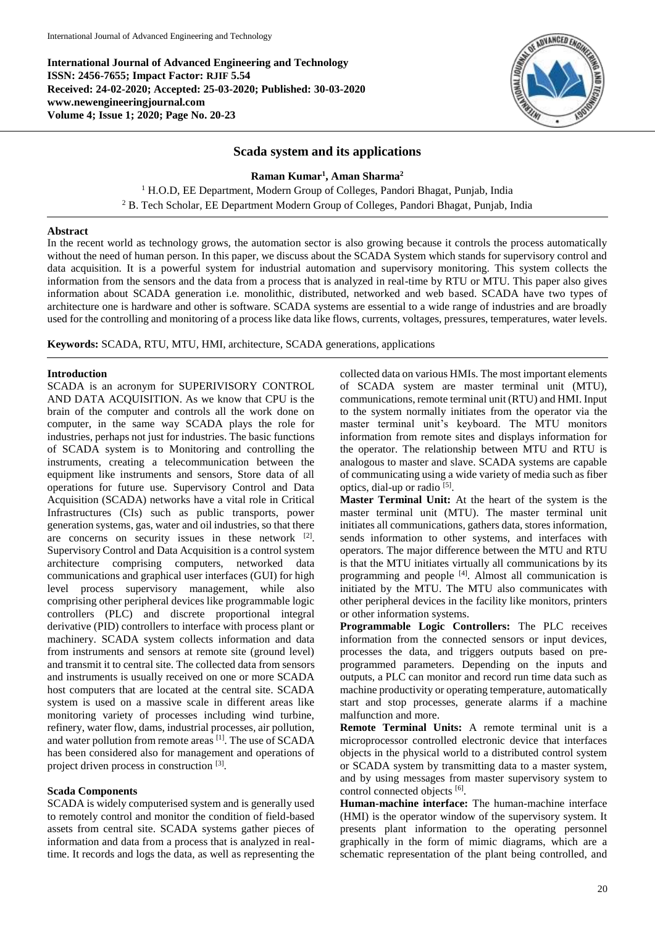**International Journal of Advanced Engineering and Technology ISSN: 2456-7655; Impact Factor: RJIF 5.54 Received: 24-02-2020; Accepted: 25-03-2020; Published: 30-03-2020 www.newengineeringjournal.com Volume 4; Issue 1; 2020; Page No. 20-23**



# **Scada system and its applications**

**Raman Kumar<sup>1</sup> , Aman Sharma<sup>2</sup>**

<sup>1</sup> H.O.D, EE Department, Modern Group of Colleges, Pandori Bhagat, Punjab, India <sup>2</sup> B. Tech Scholar, EE Department Modern Group of Colleges, Pandori Bhagat, Punjab, India

### **Abstract**

In the recent world as technology grows, the automation sector is also growing because it controls the process automatically without the need of human person. In this paper, we discuss about the SCADA System which stands for supervisory control and data acquisition. It is a powerful system for industrial automation and supervisory monitoring. This system collects the information from the sensors and the data from a process that is analyzed in real-time by RTU or MTU. This paper also gives information about SCADA generation i.e. monolithic, distributed, networked and web based. SCADA have two types of architecture one is hardware and other is software. SCADA systems are essential to a wide range of industries and are broadly used for the controlling and monitoring of a process like data like flows, currents, voltages, pressures, temperatures, water levels.

**Keywords:** SCADA, RTU, MTU, HMI, architecture, SCADA generations, applications

#### **Introduction**

SCADA is an acronym for SUPERIVISORY CONTROL AND DATA ACQUISITION. As we know that CPU is the brain of the computer and controls all the work done on computer, in the same way SCADA plays the role for industries, perhaps not just for industries. The basic functions of SCADA system is to Monitoring and controlling the instruments, creating a telecommunication between the equipment like instruments and sensors, Store data of all operations for future use. Supervisory Control and Data Acquisition (SCADA) networks have a vital role in Critical Infrastructures (CIs) such as public transports, power generation systems, gas, water and oil industries, so that there are concerns on security issues in these network  $[2]$ . Supervisory Control and Data Acquisition is a control system architecture comprising computers, networked data communications and graphical user interfaces (GUI) for high level process supervisory management, while also comprising other peripheral devices like programmable logic controllers (PLC) and discrete proportional integral derivative (PID) controllers to interface with process plant or machinery. SCADA system collects information and data from instruments and sensors at remote site (ground level) and transmit it to central site. The collected data from sensors and instruments is usually received on one or more SCADA host computers that are located at the central site. SCADA system is used on a massive scale in different areas like monitoring variety of processes including wind turbine, refinery, water flow, dams, industrial processes, air pollution, and water pollution from remote areas [1]. The use of SCADA has been considered also for management and operations of project driven process in construction [3].

## **Scada Components**

SCADA is widely computerised system and is generally used to remotely control and monitor the condition of field-based assets from central site. SCADA systems gather pieces of information and data from a process that is analyzed in realtime. It records and logs the data, as well as representing the collected data on various HMIs. The most important elements of SCADA system are master terminal unit (MTU), communications, remote terminal unit (RTU) and HMI. Input to the system normally initiates from the operator via the master terminal unit's keyboard. The MTU monitors information from remote sites and displays information for the operator. The relationship between MTU and RTU is analogous to master and slave. SCADA systems are capable of communicating using a wide variety of media such as fiber optics, dial-up or radio [5].

**Master Terminal Unit:** At the heart of the system is the master terminal unit (MTU). The master terminal unit initiates all communications, gathers data, stores information, sends information to other systems, and interfaces with operators. The major difference between the MTU and RTU is that the MTU initiates virtually all communications by its programming and people <sup>[4]</sup>. Almost all communication is initiated by the MTU. The MTU also communicates with other peripheral devices in the facility like monitors, printers or other information systems.

**Programmable Logic Controllers:** The PLC receives information from the connected sensors or input devices, processes the data, and triggers outputs based on preprogrammed parameters. Depending on the inputs and outputs, a PLC can monitor and record run time data such as machine productivity or operating temperature, automatically start and stop processes, generate alarms if a machine malfunction and more.

**Remote Terminal Units:** A remote terminal unit is a microprocessor controlled electronic device that interfaces objects in the physical world to a distributed control system or SCADA system by transmitting data to a master system, and by using messages from master supervisory system to control connected objects [6].

**Human-machine interface:** The human-machine interface (HMI) is the operator window of the supervisory system. It presents plant information to the operating personnel graphically in the form of mimic diagrams, which are a schematic representation of the plant being controlled, and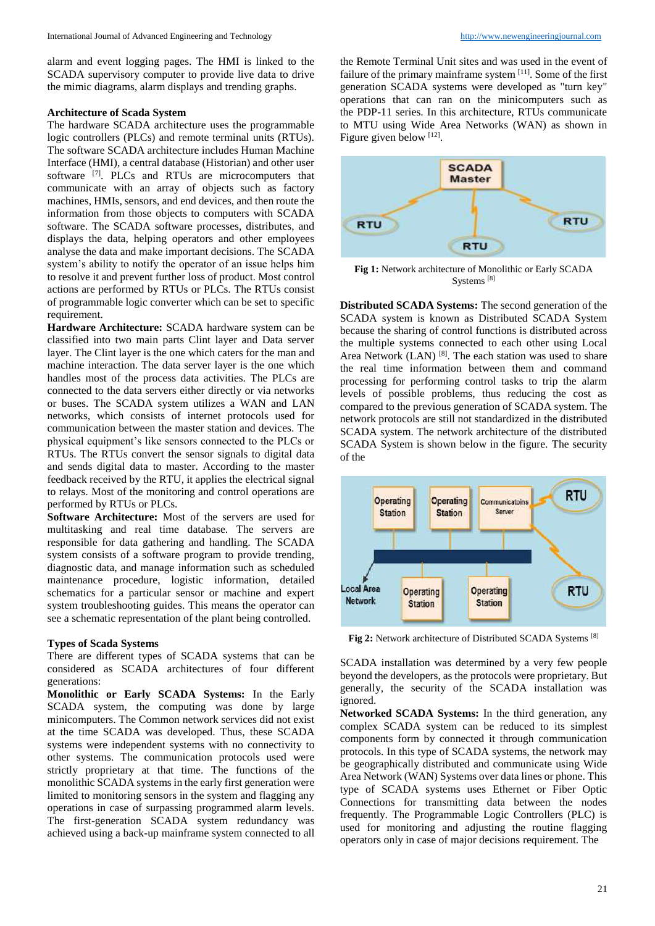alarm and event logging pages. The HMI is linked to the SCADA supervisory computer to provide live data to drive the mimic diagrams, alarm displays and trending graphs.

#### **Architecture of Scada System**

The hardware SCADA architecture uses the programmable logic controllers (PLCs) and remote terminal units (RTUs). The software SCADA architecture includes Human Machine Interface (HMI), a central database (Historian) and other user software <sup>[7]</sup>. PLCs and RTUs are microcomputers that communicate with an array of objects such as factory machines, HMIs, sensors, and end devices, and then route the information from those objects to computers with SCADA software. The SCADA software processes, distributes, and displays the data, helping operators and other employees analyse the data and make important decisions. The SCADA system's ability to notify the operator of an issue helps him to resolve it and prevent further loss of product. Most control actions are performed by RTUs or PLCs. The RTUs consist of programmable logic converter which can be set to specific requirement.

**Hardware Architecture:** SCADA hardware system can be classified into two main parts Clint layer and Data server layer. The Clint layer is the one which caters for the man and machine interaction. The data server layer is the one which handles most of the process data activities. The PLCs are connected to the data servers either directly or via networks or buses. The SCADA system utilizes a WAN and LAN networks, which consists of internet protocols used for communication between the master station and devices. The physical equipment's like sensors connected to the PLCs or RTUs. The RTUs convert the sensor signals to digital data and sends digital data to master. According to the master feedback received by the RTU, it applies the electrical signal to relays. Most of the monitoring and control operations are performed by RTUs or PLCs.

**Software Architecture:** Most of the servers are used for multitasking and real time database. The servers are responsible for data gathering and handling. The SCADA system consists of a software program to provide trending, diagnostic data, and manage information such as scheduled maintenance procedure, logistic information, detailed schematics for a particular sensor or machine and expert system troubleshooting guides. This means the operator can see a schematic representation of the plant being controlled.

## **Types of Scada Systems**

There are different types of SCADA systems that can be considered as SCADA architectures of four different generations:

**Monolithic or Early SCADA Systems:** In the Early SCADA system, the computing was done by large minicomputers. The Common network services did not exist at the time SCADA was developed. Thus, these SCADA systems were independent systems with no connectivity to other systems. The communication protocols used were strictly proprietary at that time. The functions of the monolithic SCADA systems in the early first generation were limited to monitoring sensors in the system and flagging any operations in case of surpassing programmed alarm levels. The first-generation SCADA system redundancy was achieved using a back-up mainframe system connected to all the Remote Terminal Unit sites and was used in the event of failure of the primary mainframe system [11]. Some of the first generation SCADA systems were developed as "turn key" operations that can ran on the minicomputers such as the PDP-11 series. In this architecture, RTUs communicate to MTU using Wide Area Networks (WAN) as shown in Figure given below [12].



**Fig 1:** Network architecture of Monolithic or Early SCADA Systems [8]

**Distributed SCADA Systems:** The second generation of the SCADA system is known as Distributed SCADA System because the sharing of control functions is distributed across the multiple systems connected to each other using Local Area Network (LAN) <sup>[8]</sup>. The each station was used to share the real time information between them and command processing for performing control tasks to trip the alarm levels of possible problems, thus reducing the cost as compared to the previous generation of SCADA system. The network protocols are still not standardized in the distributed SCADA system. The network architecture of the distributed SCADA System is shown below in the figure. The security of the



**Fig 2:** Network architecture of Distributed SCADA Systems [8]

SCADA installation was determined by a very few people beyond the developers, as the protocols were proprietary. But generally, the security of the SCADA installation was ignored.

**Networked SCADA Systems:** In the third generation, any complex SCADA system can be reduced to its simplest components form by connected it through communication protocols. In this type of SCADA systems, the network may be geographically distributed and communicate using Wide Area Network (WAN) Systems over data lines or phone. This type of SCADA systems uses Ethernet or Fiber Optic Connections for transmitting data between the nodes frequently. The Programmable Logic Controllers (PLC) is used for monitoring and adjusting the routine flagging operators only in case of major decisions requirement. The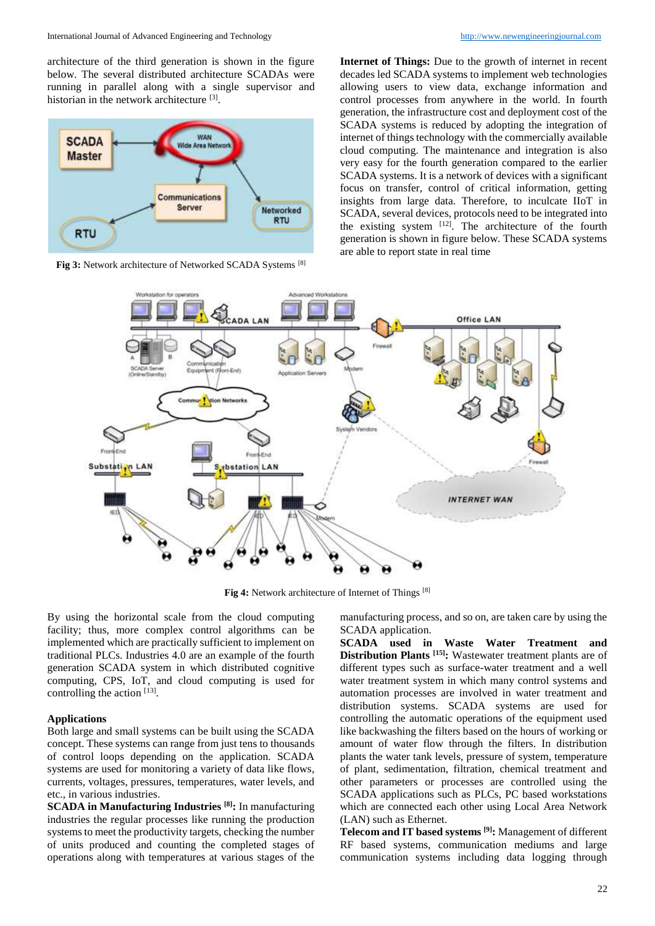architecture of the third generation is shown in the figure below. The several distributed architecture SCADAs were running in parallel along with a single supervisor and historian in the network architecture <sup>[3]</sup>.



**Fig 3:** Network architecture of Networked SCADA Systems [8]

**Internet of Things:** Due to the growth of internet in recent decades led SCADA systems to implement web technologies allowing users to view data, exchange information and control processes from anywhere in the world. In fourth generation, the infrastructure cost and deployment cost of the SCADA systems is reduced by adopting the integration of internet of things technology with the commercially available cloud computing. The maintenance and integration is also very easy for the fourth generation compared to the earlier SCADA systems. It is a network of devices with a significant focus on transfer, control of critical information, getting insights from large data. Therefore, to inculcate IIoT in SCADA, several devices, protocols need to be integrated into the existing system  $[12]$ . The architecture of the fourth generation is shown in figure below. These SCADA systems are able to report state in real time



**Fig 4:** Network architecture of Internet of Things [8]

By using the horizontal scale from the cloud computing facility; thus, more complex control algorithms can be implemented which are practically sufficient to implement on traditional PLCs. Industries 4.0 are an example of the fourth generation SCADA system in which distributed cognitive computing, CPS, IoT, and cloud computing is used for controlling the action [13].

### **Applications**

Both large and small systems can be built using the SCADA concept. These systems can range from just tens to thousands of control loops depending on the application. SCADA systems are used for monitoring a variety of data like flows, currents, voltages, pressures, temperatures, water levels, and etc., in various industries.

**SCADA in Manufacturing Industries [8]:** In manufacturing industries the regular processes like running the production systems to meet the productivity targets, checking the number of units produced and counting the completed stages of operations along with temperatures at various stages of the

manufacturing process, and so on, are taken care by using the SCADA application.

**SCADA used in Waste Water Treatment and Distribution Plants [15]:** Wastewater treatment plants are of different types such as surface-water treatment and a well water treatment system in which many control systems and automation processes are involved in water treatment and distribution systems. SCADA systems are used for controlling the automatic operations of the equipment used like backwashing the filters based on the hours of working or amount of water flow through the filters. In distribution plants the water tank levels, pressure of system, temperature of plant, sedimentation, filtration, chemical treatment and other parameters or processes are controlled using the SCADA applications such as PLCs, PC based workstations which are connected each other using Local Area Network (LAN) such as Ethernet.

**Telecom and IT based systems [9]:** Management of different RF based systems, communication mediums and large communication systems including data logging through